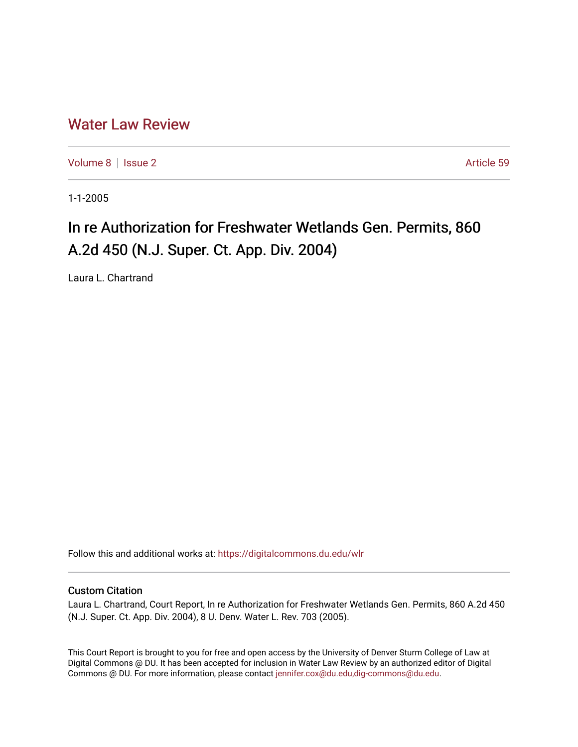# [Water Law Review](https://digitalcommons.du.edu/wlr)

[Volume 8](https://digitalcommons.du.edu/wlr/vol8) | [Issue 2](https://digitalcommons.du.edu/wlr/vol8/iss2) Article 59

1-1-2005

# In re Authorization for Freshwater Wetlands Gen. Permits, 860 A.2d 450 (N.J. Super. Ct. App. Div. 2004)

Laura L. Chartrand

Follow this and additional works at: [https://digitalcommons.du.edu/wlr](https://digitalcommons.du.edu/wlr?utm_source=digitalcommons.du.edu%2Fwlr%2Fvol8%2Fiss2%2F59&utm_medium=PDF&utm_campaign=PDFCoverPages) 

## Custom Citation

Laura L. Chartrand, Court Report, In re Authorization for Freshwater Wetlands Gen. Permits, 860 A.2d 450 (N.J. Super. Ct. App. Div. 2004), 8 U. Denv. Water L. Rev. 703 (2005).

This Court Report is brought to you for free and open access by the University of Denver Sturm College of Law at Digital Commons @ DU. It has been accepted for inclusion in Water Law Review by an authorized editor of Digital Commons @ DU. For more information, please contact [jennifer.cox@du.edu,dig-commons@du.edu.](mailto:jennifer.cox@du.edu,dig-commons@du.edu)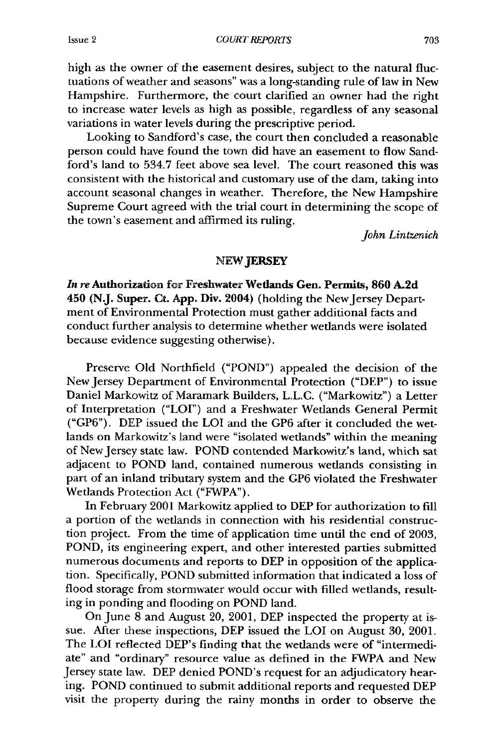*COURT REPORTS*

high as the owner of the easement desires, subject to the natural fluctuations of weather and seasons" was a long-standing rule of law in New Hampshire. Furthermore, the court clarified an owner had the right to increase water levels as high as possible, regardless of any seasonal variations in water levels during the prescriptive period.

Looking to Sandford's case, the court then concluded a reasonable person could have found the town did have an easement to flow Sandford's land to 534.7 feet above sea level. The court reasoned this was consistent with the historical and customary use of the dam, taking into account seasonal changes in weather. Therefore, the New Hampshire Supreme Court agreed with the trial court in determining the scope of the town's easement and affirmed its ruling.

*John Lintzenich*

### NEW JERSEY

*In re* Authorization for Freshwater **Wetlands Gen. Permits, 860 A.2d** 450 **(N.J.** Super. Ct. **App.** Div. 2004) (holding the NewJersey Department of Environmental Protection must gather additional facts and conduct further analysis to determine whether wetlands were isolated because evidence suggesting otherwise).

Preserve **Old** Northfield ("POND") appealed the decision of the New Jersey Department of Environmental Protection **("DEP")** to issue Daniel Markowitz of Maramark Builders, **L.L.C.** ("Markowitz") a Letter of Interpretation ("LOI") and a Freshwater Wetlands General Permit **("GP6"). DEP** issued the LOI and the **GP6** after it concluded the wetlands on Markowitz's land were "isolated wetlands" within the meaning of New Jersey state law. **POND** contended Markowitz's land, which sat adjacent to **POND** land, contained numerous wetlands consisting in part of an inland tributary system and the **GP6** violated the Freshwater Wetlands Protection Act ("FWPA").

In February 2001 Markowitz applied to **DEP** for authorization to **fill** a portion of the wetlands in connection with his residential construction project. From the time of application time until the end of **2003, POND,** its engineering expert, and other interested parties submitted numerous documents and reports to **DEP** in opposition of the application. Specifically, **POND** submitted information that indicated a loss of flood storage from stormwater would occur with filled wetlands, resulting in ponding and flooding on **POND** land.

On June **8** and August 20, 2001, **DEP** inspected the property at issue. After these inspections, **DEP** issued the LOI on August **30,** 2001. The **LOI** reflected DEP's finding that the wetlands were of "intermediate" and "ordinary" resource value as defined in the FWPA and New Jersey state law. **DEP** denied POND's request for an adjudicatory hearing. **POND** continued to submit additional reports and requested **DEP** visit the property during the rainy months in order to observe the